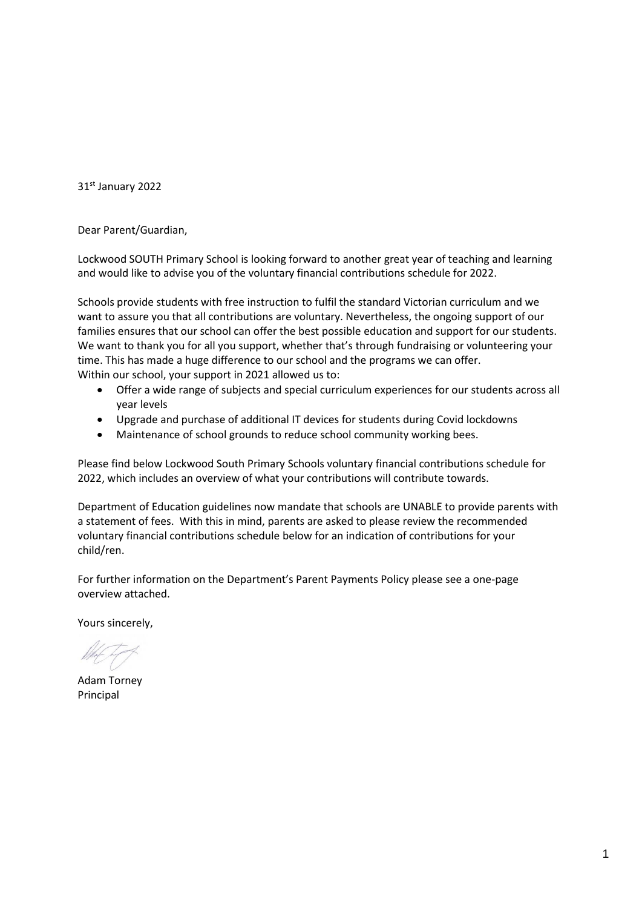31st January 2022

Dear Parent/Guardian,

Lockwood SOUTH Primary School is looking forward to another great year of teaching and learning and would like to advise you of the voluntary financial contributions schedule for 2022.

Schools provide students with free instruction to fulfil the standard Victorian curriculum and we want to assure you that all contributions are voluntary. Nevertheless, the ongoing support of our families ensures that our school can offer the best possible education and support for our students. We want to thank you for all you support, whether that's through fundraising or volunteering your time. This has made a huge difference to our school and the programs we can offer. Within our school, your support in 2021 allowed us to:

- Offer a wide range of subjects and special curriculum experiences for our students across all year levels
- Upgrade and purchase of additional IT devices for students during Covid lockdowns
- Maintenance of school grounds to reduce school community working bees.

Please find below Lockwood South Primary Schools voluntary financial contributions schedule for 2022, which includes an overview of what your contributions will contribute towards.

Department of Education guidelines now mandate that schools are UNABLE to provide parents with a statement of fees. With this in mind, parents are asked to please review the recommended voluntary financial contributions schedule below for an indication of contributions for your child/ren.

For further information on the Department's Parent Payments Policy please see a one-page overview attached.

Yours sincerely,

Adam Torney Principal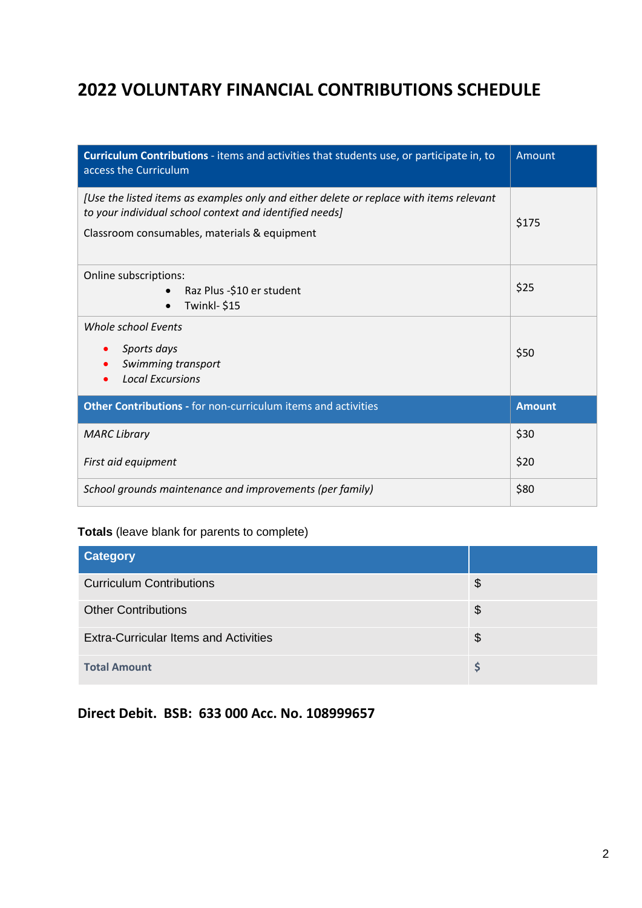## **2022 VOLUNTARY FINANCIAL CONTRIBUTIONS SCHEDULE**

| Curriculum Contributions - items and activities that students use, or participate in, to<br>access the Curriculum                                                                                  | Amount        |
|----------------------------------------------------------------------------------------------------------------------------------------------------------------------------------------------------|---------------|
| [Use the listed items as examples only and either delete or replace with items relevant<br>to your individual school context and identified needs]<br>Classroom consumables, materials & equipment | \$175         |
| Online subscriptions:<br>Raz Plus -\$10 er student<br>Twinkl-\$15                                                                                                                                  | \$25          |
| <b>Whole school Events</b><br>Sports days<br>Swimming transport<br><b>Local Excursions</b>                                                                                                         | \$50          |
| Other Contributions - for non-curriculum items and activities                                                                                                                                      | <b>Amount</b> |
| <b>MARC Library</b>                                                                                                                                                                                | \$30          |
| First aid equipment                                                                                                                                                                                | \$20          |
| School grounds maintenance and improvements (per family)                                                                                                                                           | \$80          |

## **Totals** (leave blank for parents to complete)

| <b>Category</b>                              |    |
|----------------------------------------------|----|
| <b>Curriculum Contributions</b>              | \$ |
| <b>Other Contributions</b>                   | \$ |
| <b>Extra-Curricular Items and Activities</b> | \$ |
| <b>Total Amount</b>                          |    |

## **Direct Debit. BSB: 633 000 Acc. No. 108999657**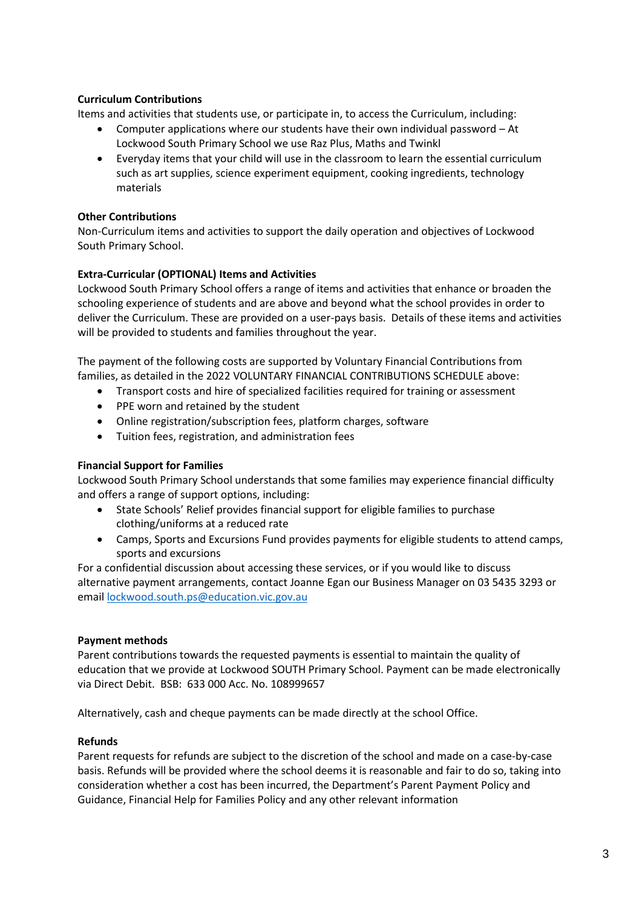## **Curriculum Contributions**

Items and activities that students use, or participate in, to access the Curriculum, including:

- Computer applications where our students have their own individual password At Lockwood South Primary School we use Raz Plus, Maths and Twinkl
- Everyday items that your child will use in the classroom to learn the essential curriculum such as art supplies, science experiment equipment, cooking ingredients, technology materials

### **Other Contributions**

Non-Curriculum items and activities to support the daily operation and objectives of Lockwood South Primary School.

## **Extra-Curricular (OPTIONAL) Items and Activities**

Lockwood South Primary School offers a range of items and activities that enhance or broaden the schooling experience of students and are above and beyond what the school provides in order to deliver the Curriculum. These are provided on a user-pays basis. Details of these items and activities will be provided to students and families throughout the year.

The payment of the following costs are supported by Voluntary Financial Contributions from families, as detailed in the 2022 VOLUNTARY FINANCIAL CONTRIBUTIONS SCHEDULE above:

- Transport costs and hire of specialized facilities required for training or assessment
- PPE worn and retained by the student
- Online registration/subscription fees, platform charges, software
- Tuition fees, registration, and administration fees

### **Financial Support for Families**

Lockwood South Primary School understands that some families may experience financial difficulty and offers a range of support options, including:

- State Schools' Relief provides financial support for eligible families to purchase clothing/uniforms at a reduced rate
- Camps, Sports and Excursions Fund provides payments for eligible students to attend camps, sports and excursions

For a confidential discussion about accessing these services, or if you would like to discuss alternative payment arrangements, contact Joanne Egan our Business Manager on 03 5435 3293 or email [lockwood.south.ps@education.vic.gov.au](mailto:lockwood.south.ps@education.vic.gov.au)

### **Payment methods**

Parent contributions towards the requested payments is essential to maintain the quality of education that we provide at Lockwood SOUTH Primary School. Payment can be made electronically via Direct Debit. BSB: 633 000 Acc. No. 108999657

Alternatively, cash and cheque payments can be made directly at the school Office.

### **Refunds**

Parent requests for refunds are subject to the discretion of the school and made on a case-by-case basis. Refunds will be provided where the school deems it is reasonable and fair to do so, taking into consideration whether a cost has been incurred, the Department's Parent Payment Policy and Guidance, Financial Help for Families Policy and any other relevant information